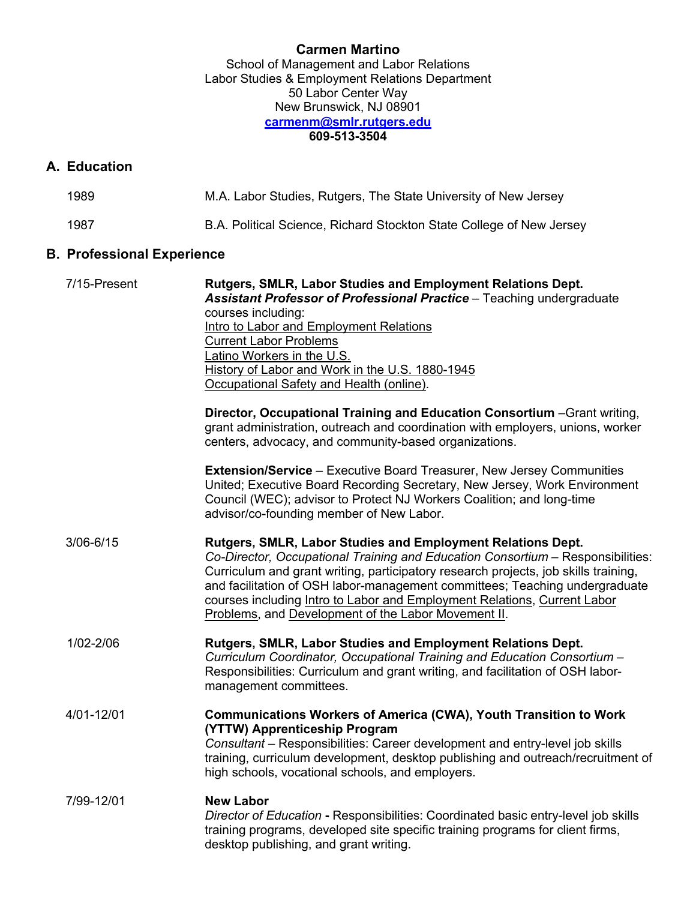## **Carmen Martino**

School of Management and Labor Relations Labor Studies & Employment Relations Department 50 Labor Center Way New Brunswick, NJ 08901 **carmenm@smlr.rutgers.edu 609-513-3504**

## **A. Education**

| 1989 | M.A. Labor Studies, Rutgers, The State University of New Jersey      |
|------|----------------------------------------------------------------------|
| 1987 | B.A. Political Science, Richard Stockton State College of New Jersey |

# **B. Professional Experience**

| 7/15-Present  | Rutgers, SMLR, Labor Studies and Employment Relations Dept.<br>Assistant Professor of Professional Practice - Teaching undergraduate                                                                                                                                                                                                                                                                                                                    |  |  |
|---------------|---------------------------------------------------------------------------------------------------------------------------------------------------------------------------------------------------------------------------------------------------------------------------------------------------------------------------------------------------------------------------------------------------------------------------------------------------------|--|--|
|               | courses including:                                                                                                                                                                                                                                                                                                                                                                                                                                      |  |  |
|               | Intro to Labor and Employment Relations                                                                                                                                                                                                                                                                                                                                                                                                                 |  |  |
|               | <b>Current Labor Problems</b>                                                                                                                                                                                                                                                                                                                                                                                                                           |  |  |
|               |                                                                                                                                                                                                                                                                                                                                                                                                                                                         |  |  |
|               | Latino Workers in the U.S.                                                                                                                                                                                                                                                                                                                                                                                                                              |  |  |
|               | History of Labor and Work in the U.S. 1880-1945                                                                                                                                                                                                                                                                                                                                                                                                         |  |  |
|               | Occupational Safety and Health (online).                                                                                                                                                                                                                                                                                                                                                                                                                |  |  |
|               | Director, Occupational Training and Education Consortium - Grant writing,                                                                                                                                                                                                                                                                                                                                                                               |  |  |
|               | grant administration, outreach and coordination with employers, unions, worker                                                                                                                                                                                                                                                                                                                                                                          |  |  |
|               | centers, advocacy, and community-based organizations.                                                                                                                                                                                                                                                                                                                                                                                                   |  |  |
|               | <b>Extension/Service</b> – Executive Board Treasurer, New Jersey Communities<br>United; Executive Board Recording Secretary, New Jersey, Work Environment<br>Council (WEC); advisor to Protect NJ Workers Coalition; and long-time<br>advisor/co-founding member of New Labor.                                                                                                                                                                          |  |  |
| $3/06 - 6/15$ | Rutgers, SMLR, Labor Studies and Employment Relations Dept.<br>Co-Director, Occupational Training and Education Consortium - Responsibilities:<br>Curriculum and grant writing, participatory research projects, job skills training,<br>and facilitation of OSH labor-management committees; Teaching undergraduate<br>courses including Intro to Labor and Employment Relations, Current Labor<br>Problems, and Development of the Labor Movement II. |  |  |
| 1/02-2/06     | Rutgers, SMLR, Labor Studies and Employment Relations Dept.<br>Curriculum Coordinator, Occupational Training and Education Consortium -<br>Responsibilities: Curriculum and grant writing, and facilitation of OSH labor-<br>management committees.                                                                                                                                                                                                     |  |  |
| 4/01-12/01    | <b>Communications Workers of America (CWA), Youth Transition to Work</b><br>(YTTW) Apprenticeship Program                                                                                                                                                                                                                                                                                                                                               |  |  |
|               | Consultant - Responsibilities: Career development and entry-level job skills<br>training, curriculum development, desktop publishing and outreach/recruitment of<br>high schools, vocational schools, and employers.                                                                                                                                                                                                                                    |  |  |
| 7/99-12/01    | <b>New Labor</b>                                                                                                                                                                                                                                                                                                                                                                                                                                        |  |  |
|               | Director of Education - Responsibilities: Coordinated basic entry-level job skills<br>training programs, developed site specific training programs for client firms,<br>desktop publishing, and grant writing.                                                                                                                                                                                                                                          |  |  |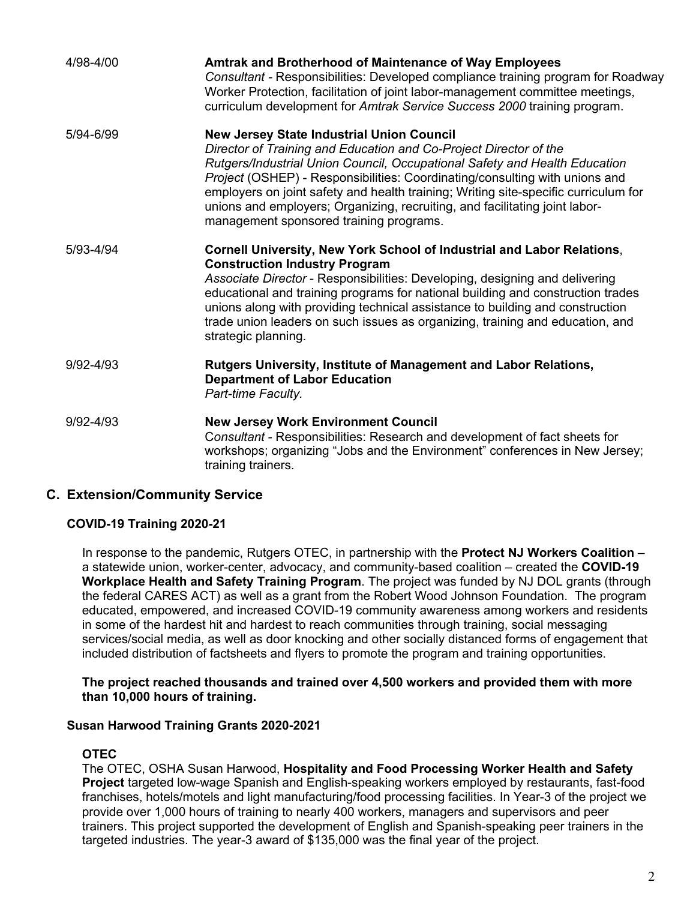| 4/98-4/00     | <b>Amtrak and Brotherhood of Maintenance of Way Employees</b><br>Consultant - Responsibilities: Developed compliance training program for Roadway<br>Worker Protection, facilitation of joint labor-management committee meetings,<br>curriculum development for Amtrak Service Success 2000 training program.                                                                                                                                                                                      |
|---------------|-----------------------------------------------------------------------------------------------------------------------------------------------------------------------------------------------------------------------------------------------------------------------------------------------------------------------------------------------------------------------------------------------------------------------------------------------------------------------------------------------------|
| 5/94-6/99     | <b>New Jersey State Industrial Union Council</b><br>Director of Training and Education and Co-Project Director of the<br>Rutgers/Industrial Union Council, Occupational Safety and Health Education<br>Project (OSHEP) - Responsibilities: Coordinating/consulting with unions and<br>employers on joint safety and health training; Writing site-specific curriculum for<br>unions and employers; Organizing, recruiting, and facilitating joint labor-<br>management sponsored training programs. |
| 5/93-4/94     | <b>Cornell University, New York School of Industrial and Labor Relations,</b><br><b>Construction Industry Program</b><br>Associate Director - Responsibilities: Developing, designing and delivering<br>educational and training programs for national building and construction trades<br>unions along with providing technical assistance to building and construction<br>trade union leaders on such issues as organizing, training and education, and<br>strategic planning.                    |
| 9/92-4/93     | Rutgers University, Institute of Management and Labor Relations,<br><b>Department of Labor Education</b><br>Part-time Faculty.                                                                                                                                                                                                                                                                                                                                                                      |
| $9/92 - 4/93$ | <b>New Jersey Work Environment Council</b><br>Consultant - Responsibilities: Research and development of fact sheets for<br>workshops; organizing "Jobs and the Environment" conferences in New Jersey;<br>training trainers.                                                                                                                                                                                                                                                                       |

## **C. Extension/Community Service**

## **COVID-19 Training 2020-21**

In response to the pandemic, Rutgers OTEC, in partnership with the **Protect NJ Workers Coalition** – a statewide union, worker-center, advocacy, and community-based coalition – created the **COVID-19 Workplace Health and Safety Training Program**. The project was funded by NJ DOL grants (through the federal CARES ACT) as well as a grant from the Robert Wood Johnson Foundation. The program educated, empowered, and increased COVID-19 community awareness among workers and residents in some of the hardest hit and hardest to reach communities through training, social messaging services/social media, as well as door knocking and other socially distanced forms of engagement that included distribution of factsheets and flyers to promote the program and training opportunities.

#### **The project reached thousands and trained over 4,500 workers and provided them with more than 10,000 hours of training.**

#### **Susan Harwood Training Grants 2020-2021**

#### **OTEC**

The OTEC, OSHA Susan Harwood, **Hospitality and Food Processing Worker Health and Safety Project** targeted low-wage Spanish and English-speaking workers employed by restaurants, fast-food franchises, hotels/motels and light manufacturing/food processing facilities. In Year-3 of the project we provide over 1,000 hours of training to nearly 400 workers, managers and supervisors and peer trainers. This project supported the development of English and Spanish-speaking peer trainers in the targeted industries. The year-3 award of \$135,000 was the final year of the project.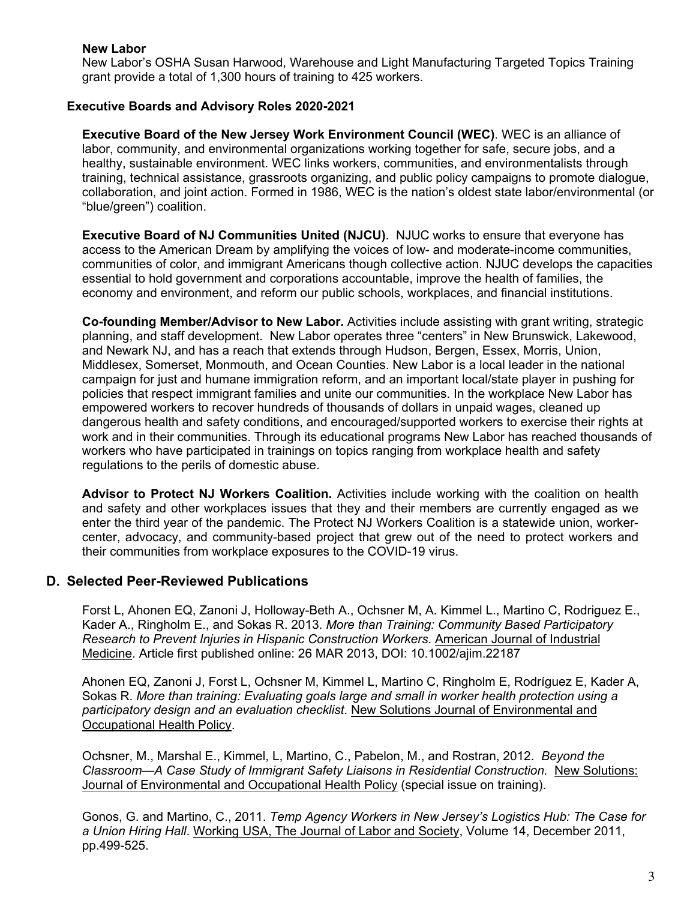#### **New Labor**

New Labor's OSHA Susan Harwood, Warehouse and Light Manufacturing Targeted Topics Training grant provide a total of 1,300 hours of training to 425 workers.

#### **Executive Boards and Advisory Roles 2020-2021**

**Executive Board of the New Jersey Work Environment Council (WEC)**. WEC is an alliance of labor, community, and environmental organizations working together for safe, secure jobs, and a healthy, sustainable environment. WEC links workers, communities, and environmentalists through training, technical assistance, grassroots organizing, and public policy campaigns to promote dialogue, collaboration, and joint action. Formed in 1986, WEC is the nation's oldest state labor/environmental (or "blue/green") coalition.

**Executive Board of NJ Communities United (NJCU)**. NJUC works to ensure that everyone has access to the American Dream by amplifying the voices of low- and moderate-income communities, communities of color, and immigrant Americans though collective action. NJUC develops the capacities essential to hold government and corporations accountable, improve the health of families, the economy and environment, and reform our public schools, workplaces, and financial institutions.

**Co-founding Member/Advisor to New Labor.** Activities include assisting with grant writing, strategic planning, and staff development. New Labor operates three "centers" in New Brunswick, Lakewood, and Newark NJ, and has a reach that extends through Hudson, Bergen, Essex, Morris, Union, Middlesex, Somerset, Monmouth, and Ocean Counties. New Labor is a local leader in the national campaign for just and humane immigration reform, and an important local/state player in pushing for policies that respect immigrant families and unite our communities. In the workplace New Labor has empowered workers to recover hundreds of thousands of dollars in unpaid wages, cleaned up dangerous health and safety conditions, and encouraged/supported workers to exercise their rights at work and in their communities. Through its educational programs New Labor has reached thousands of workers who have participated in trainings on topics ranging from workplace health and safety regulations to the perils of domestic abuse.

**Advisor to Protect NJ Workers Coalition.** Activities include working with the coalition on health and safety and other workplaces issues that they and their members are currently engaged as we enter the third year of the pandemic. The Protect NJ Workers Coalition is a statewide union, workercenter, advocacy, and community-based project that grew out of the need to protect workers and their communities from workplace exposures to the COVID-19 virus.

## **D. Selected Peer-Reviewed Publications**

Forst L, Ahonen EQ, Zanoni J, Holloway-Beth A., Ochsner M, A. Kimmel L., Martino C, Rodriguez E., Kader A., Ringholm E., and Sokas R. 2013. *More than Training: Community Based Participatory Research to Prevent Injuries in Hispanic Construction Workers*. American Journal of Industrial Medicine. Article first published online: 26 MAR 2013, DOI: 10.1002/ajim.22187

Ahonen EQ, Zanoni J, Forst L, Ochsner M, Kimmel L, Martino C, Ringholm E, Rodríguez E, Kader A, Sokas R. *More than training: Evaluating goals large and small in worker health protection using a participatory design and an evaluation checklist*. New Solutions Journal of Environmental and Occupational Health Policy.

Ochsner, M., Marshal E., Kimmel, L, Martino, C., Pabelon, M., and Rostran, 2012. *Beyond the Classroom—A Case Study of Immigrant Safety Liaisons in Residential Construction.* New Solutions: Journal of Environmental and Occupational Health Policy (special issue on training).

Gonos, G. and Martino, C., 2011. *Temp Agency Workers in New Jersey's Logistics Hub: The Case for a Union Hiring Hall*. Working USA, The Journal of Labor and Society, Volume 14, December 2011, pp.499-525.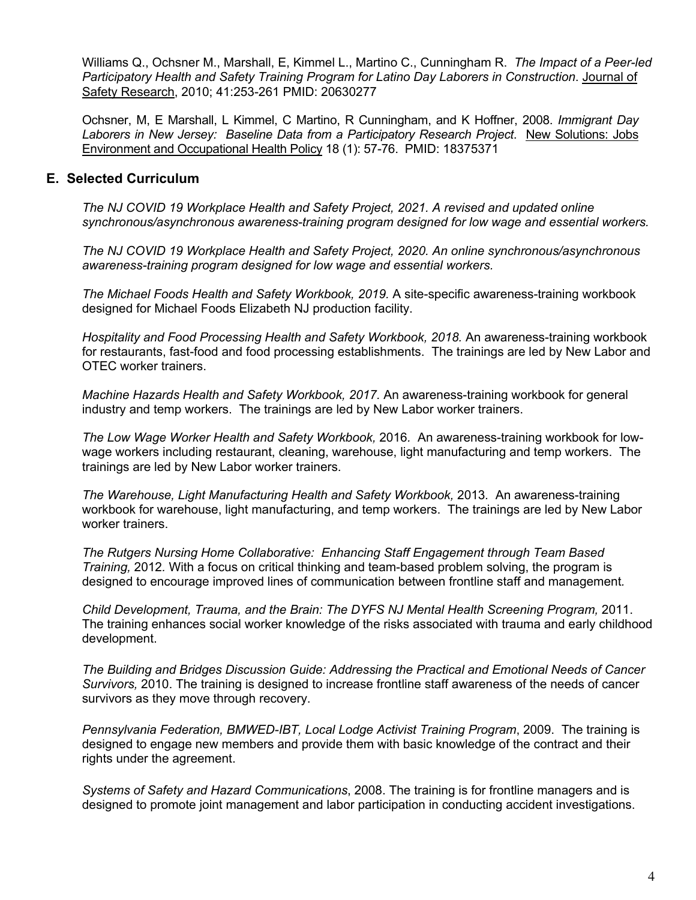Williams Q., Ochsner M., Marshall, E, Kimmel L., Martino C., Cunningham R. *The Impact of a Peer-led Participatory Health and Safety Training Program for Latino Day Laborers in Construction*. Journal of Safety Research, 2010; 41:253-261 PMID: 20630277

Ochsner, M, E Marshall, L Kimmel, C Martino, R Cunningham, and K Hoffner, 2008. *Immigrant Day Laborers in New Jersey: Baseline Data from a Participatory Research Project*. New Solutions: Jobs Environment and Occupational Health Policy 18 (1): 57-76. PMID: 18375371

### **E. Selected Curriculum**

*The NJ COVID 19 Workplace Health and Safety Project, 2021. A revised and updated online synchronous/asynchronous awareness-training program designed for low wage and essential workers.*

*The NJ COVID 19 Workplace Health and Safety Project, 2020. An online synchronous/asynchronous awareness-training program designed for low wage and essential workers.*

*The Michael Foods Health and Safety Workbook, 2019.* A site-specific awareness-training workbook designed for Michael Foods Elizabeth NJ production facility.

*Hospitality and Food Processing Health and Safety Workbook, 2018.* An awareness-training workbook for restaurants, fast-food and food processing establishments. The trainings are led by New Labor and OTEC worker trainers.

*Machine Hazards Health and Safety Workbook, 2017.* An awareness-training workbook for general industry and temp workers. The trainings are led by New Labor worker trainers.

*The Low Wage Worker Health and Safety Workbook,* 2016*.* An awareness-training workbook for lowwage workers including restaurant, cleaning, warehouse, light manufacturing and temp workers. The trainings are led by New Labor worker trainers.

*The Warehouse, Light Manufacturing Health and Safety Workbook,* 2013*.* An awareness-training workbook for warehouse, light manufacturing, and temp workers. The trainings are led by New Labor worker trainers.

*The Rutgers Nursing Home Collaborative: Enhancing Staff Engagement through Team Based Training,* 2012*.* With a focus on critical thinking and team-based problem solving, the program is designed to encourage improved lines of communication between frontline staff and management*.*

*Child Development, Trauma, and the Brain: The DYFS NJ Mental Health Screening Program,* 2011. The training enhances social worker knowledge of the risks associated with trauma and early childhood development.

*The Building and Bridges Discussion Guide: Addressing the Practical and Emotional Needs of Cancer Survivors,* 2010. The training is designed to increase frontline staff awareness of the needs of cancer survivors as they move through recovery.

*Pennsylvania Federation, BMWED-IBT, Local Lodge Activist Training Program*, 2009. The training is designed to engage new members and provide them with basic knowledge of the contract and their rights under the agreement.

*Systems of Safety and Hazard Communications*, 2008. The training is for frontline managers and is designed to promote joint management and labor participation in conducting accident investigations.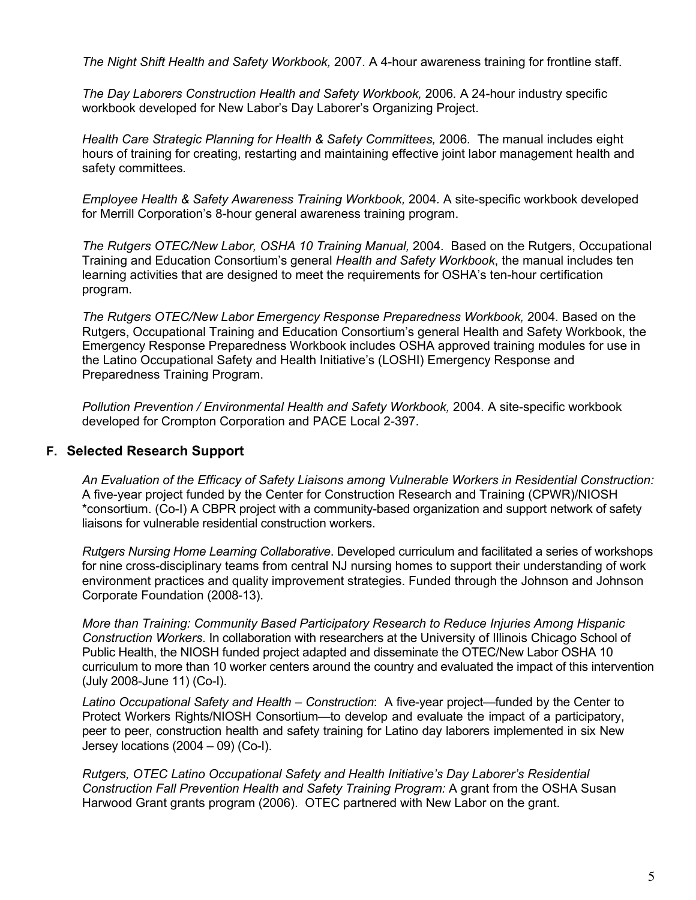*The Night Shift Health and Safety Workbook,* 2007*.* A 4-hour awareness training for frontline staff.

*The Day Laborers Construction Health and Safety Workbook,* 2006*.* A 24-hour industry specific workbook developed for New Labor's Day Laborer's Organizing Project.

*Health Care Strategic Planning for Health & Safety Committees,* 2006*.* The manual includes eight hours of training for creating, restarting and maintaining effective joint labor management health and safety committees*.*

*Employee Health & Safety Awareness Training Workbook,* 2004*.* A site-specific workbook developed for Merrill Corporation's 8-hour general awareness training program.

*The Rutgers OTEC/New Labor, OSHA 10 Training Manual,* 2004*.* Based on the Rutgers, Occupational Training and Education Consortium's general *Health and Safety Workbook*, the manual includes ten learning activities that are designed to meet the requirements for OSHA's ten-hour certification program.

*The Rutgers OTEC/New Labor Emergency Response Preparedness Workbook,* 2004*.* Based on the Rutgers, Occupational Training and Education Consortium's general Health and Safety Workbook, the Emergency Response Preparedness Workbook includes OSHA approved training modules for use in the Latino Occupational Safety and Health Initiative's (LOSHI) Emergency Response and Preparedness Training Program.

*Pollution Prevention / Environmental Health and Safety Workbook,* 2004*.* A site-specific workbook developed for Crompton Corporation and PACE Local 2-397.

## **F. Selected Research Support**

*An Evaluation of the Efficacy of Safety Liaisons among Vulnerable Workers in Residential Construction:*  A five-year project funded by the Center for Construction Research and Training (CPWR)/NIOSH \*consortium. (Co-I) A CBPR project with a community-based organization and support network of safety liaisons for vulnerable residential construction workers.

*Rutgers Nursing Home Learning Collaborative*. Developed curriculum and facilitated a series of workshops for nine cross-disciplinary teams from central NJ nursing homes to support their understanding of work environment practices and quality improvement strategies. Funded through the Johnson and Johnson Corporate Foundation (2008-13).

*More than Training: Community Based Participatory Research to Reduce Injuries Among Hispanic Construction Workers*. In collaboration with researchers at the University of Illinois Chicago School of Public Health, the NIOSH funded project adapted and disseminate the OTEC/New Labor OSHA 10 curriculum to more than 10 worker centers around the country and evaluated the impact of this intervention (July 2008-June 11) (Co-I).

*Latino Occupational Safety and Health – Construction*: A five-year project—funded by the Center to Protect Workers Rights/NIOSH Consortium—to develop and evaluate the impact of a participatory, peer to peer, construction health and safety training for Latino day laborers implemented in six New Jersey locations  $(2004 - 09)$  (Co-I).

*Rutgers, OTEC Latino Occupational Safety and Health Initiative's Day Laborer's Residential Construction Fall Prevention Health and Safety Training Program:* A grant from the OSHA Susan Harwood Grant grants program (2006). OTEC partnered with New Labor on the grant.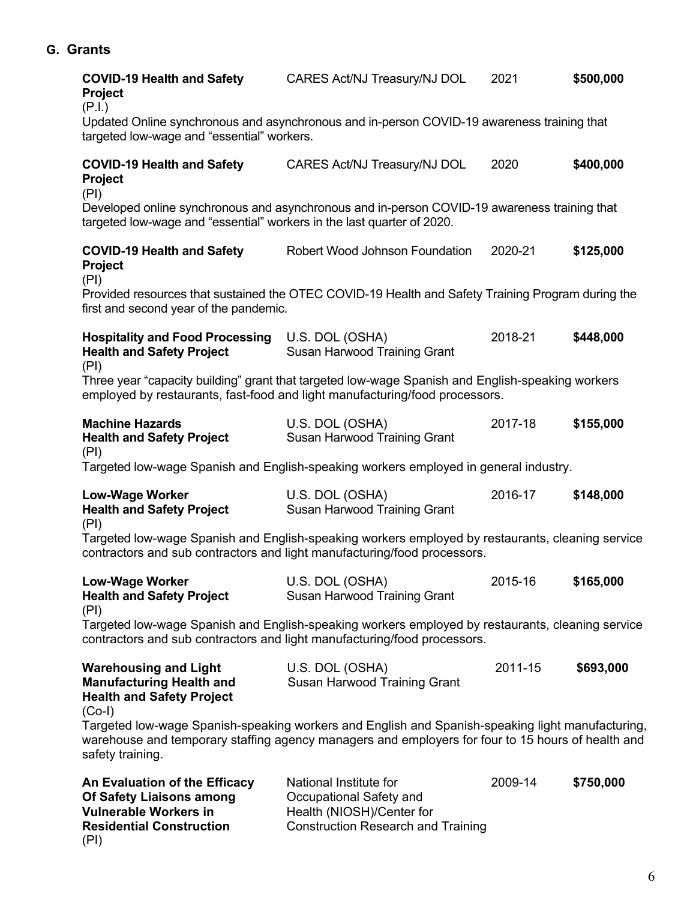# **G. Grants**

| <b>COVID-19 Health and Safety</b><br><b>Project</b><br>(P.I.)                                                                                                                                                             | CARES Act/NJ Treasury/NJ DOL                                                                      | 2021    | \$500,000 |  |  |
|---------------------------------------------------------------------------------------------------------------------------------------------------------------------------------------------------------------------------|---------------------------------------------------------------------------------------------------|---------|-----------|--|--|
| Updated Online synchronous and asynchronous and in-person COVID-19 awareness training that<br>targeted low-wage and "essential" workers.                                                                                  |                                                                                                   |         |           |  |  |
| <b>COVID-19 Health and Safety</b><br><b>Project</b><br>(PI)                                                                                                                                                               | CARES Act/NJ Treasury/NJ DOL                                                                      | 2020    | \$400,000 |  |  |
| Developed online synchronous and asynchronous and in-person COVID-19 awareness training that<br>targeted low-wage and "essential" workers in the last quarter of 2020.                                                    |                                                                                                   |         |           |  |  |
| <b>COVID-19 Health and Safety</b><br><b>Project</b>                                                                                                                                                                       | Robert Wood Johnson Foundation                                                                    | 2020-21 | \$125,000 |  |  |
| (PI)<br>first and second year of the pandemic.                                                                                                                                                                            | Provided resources that sustained the OTEC COVID-19 Health and Safety Training Program during the |         |           |  |  |
| <b>Hospitality and Food Processing</b><br><b>Health and Safety Project</b><br>(PI)                                                                                                                                        | U.S. DOL (OSHA)<br>Susan Harwood Training Grant                                                   | 2018-21 | \$448,000 |  |  |
| Three year "capacity building" grant that targeted low-wage Spanish and English-speaking workers<br>employed by restaurants, fast-food and light manufacturing/food processors.                                           |                                                                                                   |         |           |  |  |
| <b>Machine Hazards</b><br><b>Health and Safety Project</b><br>(PI)                                                                                                                                                        | U.S. DOL (OSHA)<br>Susan Harwood Training Grant                                                   | 2017-18 | \$155,000 |  |  |
|                                                                                                                                                                                                                           | Targeted low-wage Spanish and English-speaking workers employed in general industry.              |         |           |  |  |
| <b>Low-Wage Worker</b><br><b>Health and Safety Project</b><br>(PI)                                                                                                                                                        | U.S. DOL (OSHA)<br>Susan Harwood Training Grant                                                   | 2016-17 | \$148,000 |  |  |
| Targeted low-wage Spanish and English-speaking workers employed by restaurants, cleaning service<br>contractors and sub contractors and light manufacturing/food processors.                                              |                                                                                                   |         |           |  |  |
| <b>Low-Wage Worker</b><br><b>Health and Safety Project</b>                                                                                                                                                                | U.S. DOL (OSHA)<br>Susan Harwood Training Grant                                                   | 2015-16 | \$165,000 |  |  |
| (PI)<br>Targeted low-wage Spanish and English-speaking workers employed by restaurants, cleaning service<br>contractors and sub contractors and light manufacturing/food processors.                                      |                                                                                                   |         |           |  |  |
| <b>Warehousing and Light</b><br><b>Manufacturing Health and</b><br><b>Health and Safety Project</b><br>$(Co-I)$                                                                                                           | U.S. DOL (OSHA)<br>Susan Harwood Training Grant                                                   | 2011-15 | \$693,000 |  |  |
| Targeted low-wage Spanish-speaking workers and English and Spanish-speaking light manufacturing,<br>warehouse and temporary staffing agency managers and employers for four to 15 hours of health and<br>safety training. |                                                                                                   |         |           |  |  |
| An Evaluation of the Efficacy<br><b>Of Safety Liaisons among</b>                                                                                                                                                          | National Institute for<br>Occupational Safety and                                                 | 2009-14 | \$750,000 |  |  |

**Vulnerable Workers in Fighter Health (NIOSH)/Center for** 

(PI)

**Residential Construction** Construction Research and Training